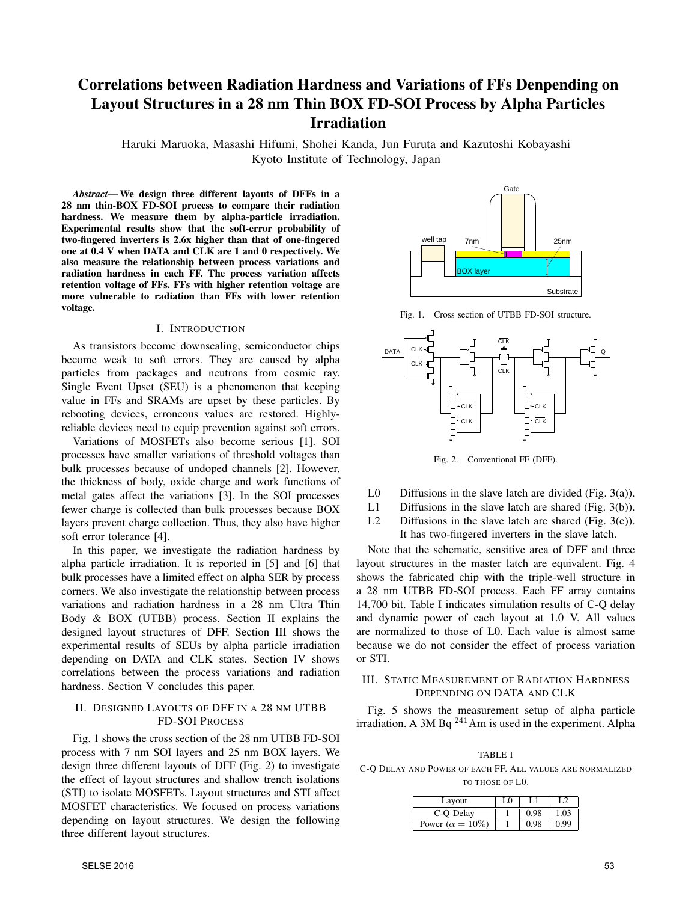# Correlations between Radiation Hardness and Variations of FFs Denpending on Layout Structures in a 28 nm Thin BOX FD-SOI Process by Alpha Particles Irradiation

Haruki Maruoka, Masashi Hifumi, Shohei Kanda, Jun Furuta and Kazutoshi Kobayashi Kyoto Institute of Technology, Japan

*Abstract*—We design three different layouts of DFFs in a 28 nm thin-BOX FD-SOI process to compare their radiation hardness. We measure them by alpha-particle irradiation. Experimental results show that the soft-error probability of two-fingered inverters is 2.6x higher than that of one-fingered one at 0.4 V when DATA and CLK are 1 and 0 respectively. We also measure the relationship between process variations and radiation hardness in each FF. The process variation affects retention voltage of FFs. FFs with higher retention voltage are more vulnerable to radiation than FFs with lower retention voltage.

#### I. INTRODUCTION

As transistors become downscaling, semiconductor chips become weak to soft errors. They are caused by alpha particles from packages and neutrons from cosmic ray. Single Event Upset (SEU) is a phenomenon that keeping value in FFs and SRAMs are upset by these particles. By rebooting devices, erroneous values are restored. Highlyreliable devices need to equip prevention against soft errors.

Variations of MOSFETs also become serious [1]. SOI processes have smaller variations of threshold voltages than bulk processes because of undoped channels [2]. However, the thickness of body, oxide charge and work functions of metal gates affect the variations [3]. In the SOI processes fewer charge is collected than bulk processes because BOX layers prevent charge collection. Thus, they also have higher soft error tolerance [4].

In this paper, we investigate the radiation hardness by alpha particle irradiation. It is reported in [5] and [6] that bulk processes have a limited effect on alpha SER by process corners. We also investigate the relationship between process variations and radiation hardness in a 28 nm Ultra Thin Body & BOX (UTBB) process. Section II explains the designed layout structures of DFF. Section III shows the experimental results of SEUs by alpha particle irradiation depending on DATA and CLK states. Section IV shows correlations between the process variations and radiation hardness. Section V concludes this paper.

# II. DESIGNED LAYOUTS OF DFF IN A 28 NM UTBB FD-SOI PROCESS

Fig. 1 shows the cross section of the 28 nm UTBB FD-SOI process with 7 nm SOI layers and 25 nm BOX layers. We design three different layouts of DFF (Fig. 2) to investigate the effect of layout structures and shallow trench isolations (STI) to isolate MOSFETs. Layout structures and STI affect MOSFET characteristics. We focused on process variations depending on layout structures. We design the following three different layout structures.



Fig. 1. Cross section of UTBB FD-SOI structure.



Fig. 2. Conventional FF (DFF).

- L0 Diffusions in the slave latch are divided (Fig.  $3(a)$ ).
- L1 Diffusions in the slave latch are shared (Fig. 3(b)).
- L2 Diffusions in the slave latch are shared (Fig. 3(c)). It has two-fingered inverters in the slave latch.

Note that the schematic, sensitive area of DFF and three layout structures in the master latch are equivalent. Fig. 4 shows the fabricated chip with the triple-well structure in a 28 nm UTBB FD-SOI process. Each FF array contains 14,700 bit. Table I indicates simulation results of C-Q delay and dynamic power of each layout at 1.0 V. All values are normalized to those of L0. Each value is almost same because we do not consider the effect of process variation or STI.

## III. STATIC MEASUREMENT OF RADIATION HARDNESS DEPENDING ON DATA AND CLK

Fig. 5 shows the measurement setup of alpha particle irradiation. A 3M Bq  $^{241}$ Am is used in the experiment. Alpha

TABLE I C-Q DELAY AND POWER OF EACH FF. ALL VALUES ARE NORMALIZED TO THOSE OF L0.

| Layout                    | LO |      |      |
|---------------------------|----|------|------|
| C-Q Delay                 |    | 0.98 | 1.03 |
| Power ( $\alpha = 10\%$ ) |    |      | 0.99 |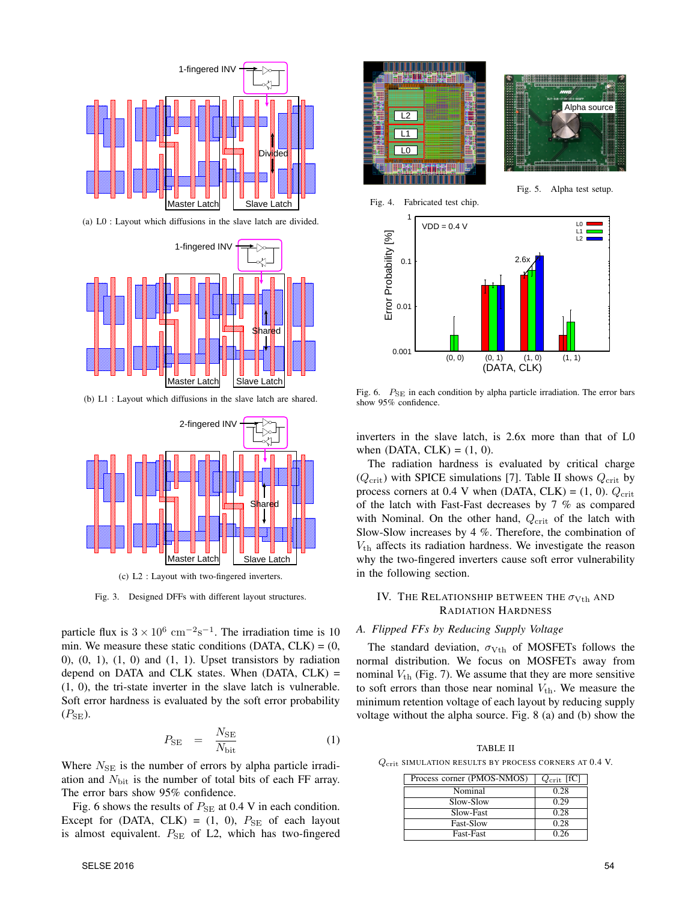

(a) L0 : Layout which diffusions in the slave latch are divided.



(b) L1 : Layout which diffusions in the slave latch are shared.



(c) L2 : Layout with two-fingered inverters.

Fig. 3. Designed DFFs with different layout structures.

particle flux is  $3 \times 10^6$  cm<sup>−2</sup>s<sup>−1</sup>. The irradiation time is 10 min. We measure these static conditions (DATA,  $CLK$ ) = (0,  $(0, 1), (1, 0)$  and  $(1, 1)$ . Upset transistors by radiation depend on DATA and CLK states. When  $(DATA, CLK)$  = (1, 0), the tri-state inverter in the slave latch is vulnerable. Soft error hardness is evaluated by the soft error probability  $(P_{\text{SE}})$ .

$$
P_{\rm SE} = \frac{N_{\rm SE}}{N_{\rm bit}} \tag{1}
$$

Where  $N_{\text{SE}}$  is the number of errors by alpha particle irradiation and *N*bit is the number of total bits of each FF array. The error bars show 95% confidence.

Fig. 6 shows the results of  $P_{\text{SE}}$  at 0.4 V in each condition. Except for (DATA, CLK) =  $(1, 0)$ ,  $P_{SE}$  of each layout is almost equivalent.  $P_{\text{SE}}$  of L2, which has two-fingered



Fig. 6. *P*<sub>SE</sub> in each condition by alpha particle irradiation. The error bars show 95% confidence.

inverters in the slave latch, is 2.6x more than that of L0 when (DATA,  $CLK$ ) = (1, 0).

The radiation hardness is evaluated by critical charge  $(Q_{\text{crit}})$  with SPICE simulations [7]. Table II shows  $Q_{\text{crit}}$  by process corners at 0.4 V when (DATA, CLK) =  $(1, 0)$ .  $Q_{\text{crit}}$ of the latch with Fast-Fast decreases by 7 % as compared with Nominal. On the other hand,  $Q_{\text{crit}}$  of the latch with Slow-Slow increases by 4 %. Therefore, the combination of *V*th affects its radiation hardness. We investigate the reason why the two-fingered inverters cause soft error vulnerability in the following section.

# IV. THE RELATIONSHIP BETWEEN THE  $\sigma_{\rm Vth}$  and RADIATION HARDNESS

## *A. Flipped FFs by Reducing Supply Voltage*

The standard deviation,  $\sigma_{Vth}$  of MOSFETs follows the normal distribution. We focus on MOSFETs away from nominal  $V_{\text{th}}$  (Fig. 7). We assume that they are more sensitive to soft errors than those near nominal  $V_{th}$ . We measure the minimum retention voltage of each layout by reducing supply voltage without the alpha source. Fig. 8 (a) and (b) show the

TABLE II

*Q*crit SIMULATION RESULTS BY PROCESS CORNERS AT 0.4 V.

| Process corner (PMOS-NMOS) | $Q_{\rm crit}$ [fC] |
|----------------------------|---------------------|
| Nominal                    | 0.28                |
| Slow-Slow                  | 0.29                |
| Slow-Fast                  | 0.28                |
| <b>Fast-Slow</b>           | 0.28                |
| <b>Fast-Fast</b>           | 0.26                |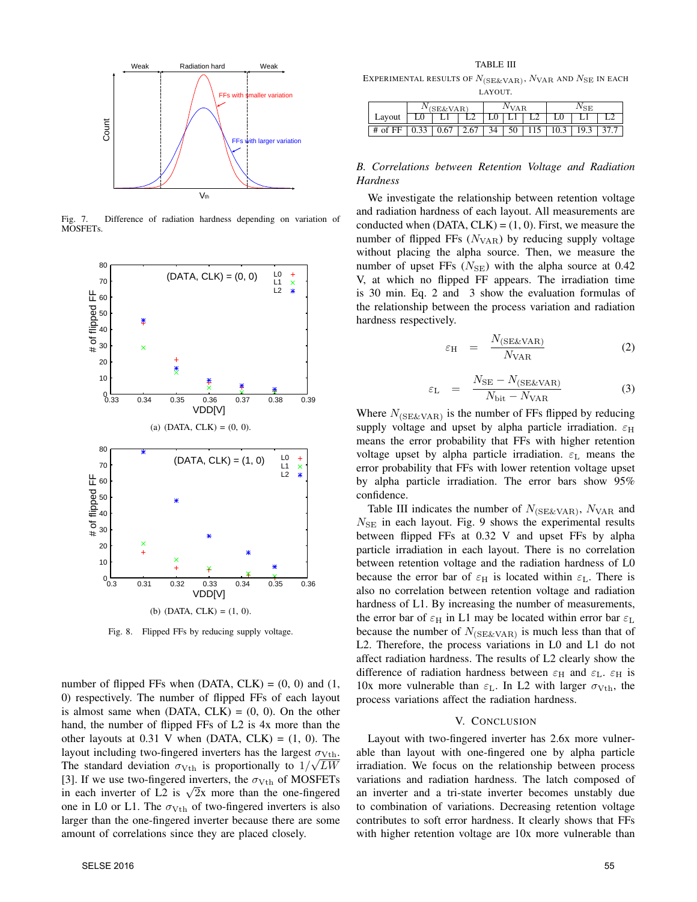

Fig. 7. Difference of radiation hardness depending on variation of MOSFETs.

![](_page_2_Figure_2.jpeg)

Fig. 8. Flipped FFs by reducing supply voltage.

number of flipped FFs when  $(DATA, CLK) = (0, 0)$  and  $(1,$ 0) respectively. The number of flipped FFs of each layout is almost same when  $(DATA, CLK) = (0, 0)$ . On the other hand, the number of flipped FFs of L2 is 4x more than the other layouts at  $0.31$  V when (DATA, CLK) =  $(1, 0)$ . The layout including two-fingered inverters has the largest  $\sigma_{Vth}$ . The standard deviation  $\sigma_{Vth}$  is proportionally to  $1/\sqrt{LW}$ [3]. If we use two-fingered inverters, the  $\sigma_{Vth}$  of MOSFETs in each inverter of L2 is  $\sqrt{2}x$  more than the one-fingered one in L0 or L1. The  $\sigma_{Vth}$  of two-fingered inverters is also larger than the one-fingered inverter because there are some amount of correlations since they are placed closely.

TABLE III EXPERIMENTAL RESULTS OF  $N_{\text{(SE\&VAR)}}$ ,  $N_{\text{VAR}}$  and  $N_{\text{SE}}$  in each LAYOUT.

|           | $(SE\&VAR)$ |  |                                                               | <i>I</i> VAR |  |  | VSE. |      |      |
|-----------|-------------|--|---------------------------------------------------------------|--------------|--|--|------|------|------|
| Layout    | L0          |  |                                                               |              |  |  |      |      |      |
| $#$ of FF |             |  | $0.33 \mid 0.67 \mid 2.67 \mid 34 \mid 50 \mid 115 \mid 10.3$ |              |  |  |      | 19.3 | 37.7 |

# *B. Correlations between Retention Voltage and Radiation Hardness*

We investigate the relationship between retention voltage and radiation hardness of each layout. All measurements are conducted when  $(DATA, CLK) = (1, 0)$ . First, we measure the number of flipped FFs  $(N<sub>VAR</sub>)$  by reducing supply voltage without placing the alpha source. Then, we measure the number of upset FFs  $(N_{\text{SE}})$  with the alpha source at 0.42 V, at which no flipped FF appears. The irradiation time is 30 min. Eq. 2 and 3 show the evaluation formulas of the relationship between the process variation and radiation hardness respectively.

$$
\varepsilon_{\rm H} = \frac{N_{\rm (SE\&VAR)}}{N_{\rm VAR}} \tag{2}
$$

$$
\varepsilon_{\rm L} = \frac{N_{\rm SE} - N_{\rm (SE\&VAR)}}{N_{\rm bit} - N_{\rm VAR}} \tag{3}
$$

Where  $N_{\text{(SE&VAR)}}$  is the number of FFs flipped by reducing supply voltage and upset by alpha particle irradiation.  $\varepsilon$ <sub>H</sub> means the error probability that FFs with higher retention voltage upset by alpha particle irradiation.  $\varepsilon_L$  means the error probability that FFs with lower retention voltage upset by alpha particle irradiation. The error bars show 95% confidence.

Table III indicates the number of  $N_{\text{(SE&VAR)}}$ ,  $N_{\text{VAR}}$  and  $N_{\text{SE}}$  in each layout. Fig. 9 shows the experimental results between flipped FFs at 0.32 V and upset FFs by alpha particle irradiation in each layout. There is no correlation between retention voltage and the radiation hardness of L0 because the error bar of  $\varepsilon_H$  is located within  $\varepsilon_L$ . There is also no correlation between retention voltage and radiation hardness of L1. By increasing the number of measurements, the error bar of  $\varepsilon_H$  in L1 may be located within error bar  $\varepsilon_L$ because the number of  $N_{\text{(SE&VAR)}}$  is much less than that of L2. Therefore, the process variations in L0 and L1 do not affect radiation hardness. The results of L2 clearly show the difference of radiation hardness between  $\varepsilon_H$  and  $\varepsilon_L$ .  $\varepsilon_H$  is 10x more vulnerable than  $\varepsilon_L$ . In L2 with larger  $\sigma_{Vth}$ , the process variations affect the radiation hardness.

#### V. CONCLUSION

Layout with two-fingered inverter has 2.6x more vulnerable than layout with one-fingered one by alpha particle irradiation. We focus on the relationship between process variations and radiation hardness. The latch composed of an inverter and a tri-state inverter becomes unstably due to combination of variations. Decreasing retention voltage contributes to soft error hardness. It clearly shows that FFs with higher retention voltage are 10x more vulnerable than